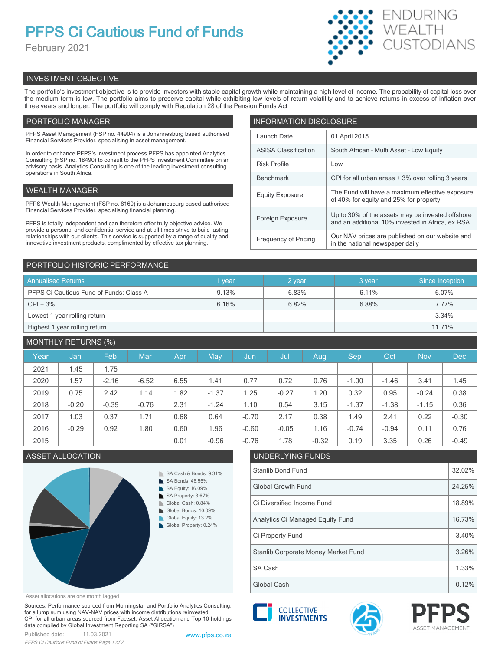# **PFPS Ci Cautious Fund of Funds**

February 2021



# INVESTMENT OBJECTIVE

The portfolio's investment objective is to provide investors with stable capital growth while maintaining a high level of income. The probability of capital loss over the medium term is low. The portfolio aims to preserve capital while exhibiting low levels of return volatility and to achieve returns in excess of inflation over three years and longer. The portfolio will comply with Regulation 28 of the Pension Funds Act

# PORTFOLIO MANAGER

PFPS Asset Management (FSP no. 44904) is a Johannesburg based authorised Financial Services Provider, specialising in asset management.

In order to enhance PFPS's investment process PFPS has appointed Analytics Consulting (FSP no. 18490) to consult to the PFPS Investment Committee on an advisory basis. Analytics Consulting is one of the leading investment consulting operations in South Africa.

# WEALTH MANAGER

PFPS Wealth Management (FSP no. 8160) is a Johannesburg based authorised Financial Services Provider, specialising financial planning.

PFPS is totally independent and can therefore offer truly objective advice. We provide a personal and confidential service and at all times strive to build lasting relationships with our clients. This service is supported by a range of quality and innovative investment products, complimented by effective tax planning.

| <b>INFORMATION DISCLOSURE</b> |                                                                                                      |  |  |  |  |  |
|-------------------------------|------------------------------------------------------------------------------------------------------|--|--|--|--|--|
| Launch Date                   | 01 April 2015                                                                                        |  |  |  |  |  |
| <b>ASISA Classification</b>   | South African - Multi Asset - Low Equity                                                             |  |  |  |  |  |
| <b>Risk Profile</b>           | Low                                                                                                  |  |  |  |  |  |
| <b>Benchmark</b>              | CPI for all urban areas + 3% over rolling 3 years                                                    |  |  |  |  |  |
| <b>Equity Exposure</b>        | The Fund will have a maximum effective exposure<br>of 40% for equity and 25% for property            |  |  |  |  |  |
| Foreign Exposure              | Up to 30% of the assets may be invested offshore<br>and an additional 10% invested in Africa, ex RSA |  |  |  |  |  |
| <b>Frequency of Pricing</b>   | Our NAV prices are published on our website and<br>in the national newspaper daily                   |  |  |  |  |  |

# PORTFOLIO HISTORIC PERFORMANCE

| <b>Annualised Returns</b>               | vear           | 2 year | 3 year | Since Inception |
|-----------------------------------------|----------------|--------|--------|-----------------|
| PFPS Ci Cautious Fund of Funds: Class A | 6.83%<br>9.13% |        | 6.11%  | 6.07%           |
| $CPI + 3%$                              | 6.16%          | 6.82%  | 6.88%  | 7.77%           |
| Lowest 1 year rolling return            |                |        |        | $-3.34%$        |
| Highest 1 year rolling return           |                |        |        | 11.71%          |

# MONTHLY RETURNS (%)

|      |         | $\sqrt{2}$ |         |            |         |         |         |         |         |         |            |            |
|------|---------|------------|---------|------------|---------|---------|---------|---------|---------|---------|------------|------------|
| Year | Jan     | Feb        | Mar     | <b>Apr</b> | May     | Jun     | Jul     | Aug     | Sep     | Oct     | <b>Nov</b> | <b>Dec</b> |
| 2021 | 1.45    | 1.75       |         |            |         |         |         |         |         |         |            |            |
| 2020 | 1.57    | $-2.16$    | $-6.52$ | 6.55       | 1.41    | 0.77    | 0.72    | 0.76    | $-1.00$ | $-1.46$ | 3.41       | 1.45       |
| 2019 | 0.75    | 2.42       | 1.14    | 1.82       | $-1.37$ | 1.25    | $-0.27$ | 1.20    | 0.32    | 0.95    | $-0.24$    | 0.38       |
| 2018 | $-0.20$ | $-0.39$    | $-0.76$ | 2.31       | $-1.24$ | 1.10    | 0.54    | 3.15    | $-1.37$ | $-1.38$ | $-1.15$    | 0.36       |
| 2017 | 1.03    | 0.37       | 1.71    | 0.68       | 0.64    | $-0.70$ | 2.17    | 0.38    | 1.49    | 2.41    | 0.22       | $-0.30$    |
| 2016 | $-0.29$ | 0.92       | 1.80    | 0.60       | 1.96    | $-0.60$ | $-0.05$ | 1.16    | $-0.74$ | $-0.94$ | 0.11       | 0.76       |
| 2015 |         |            |         | 0.01       | $-0.96$ | $-0.76$ | 1.78    | $-0.32$ | 0.19    | 3.35    | 0.26       | $-0.49$    |



## Asset allocations are one month lagged

Sources: Performance sourced from Morningstar and Portfolio Analytics Consulting, for a lump sum using NAV-NAV prices with income distributions reinvested. CPI for all urban areas sourced from Factset. Asset Allocation and Top 10 holdings data compiled by Global Investment Reporting SA ("GIRSA")